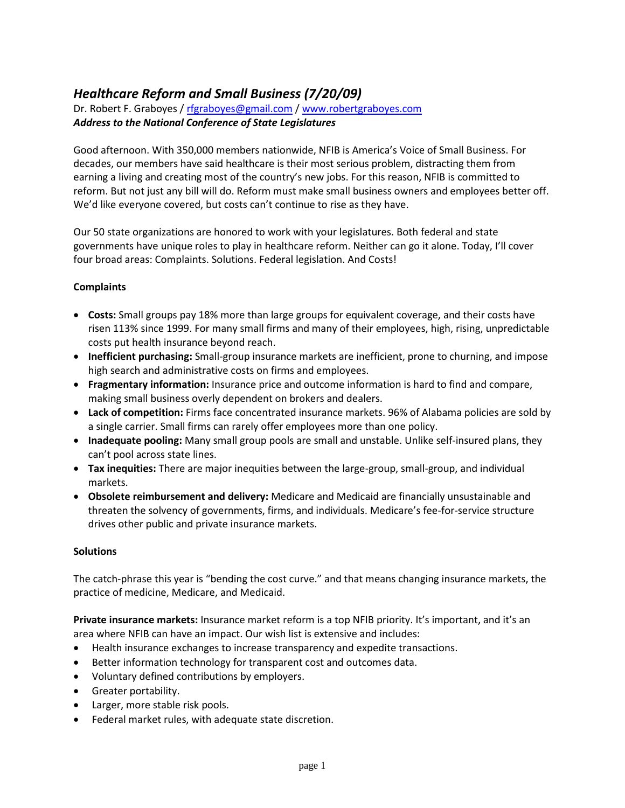## *Healthcare Reform and Small Business (7/20/09)*

Dr. Robert F. Graboyes / [rfgraboyes@gmail.com](mailto:rfgraboyes@gmail.com) / [www.robertgraboyes.com](http://www.robertgraboyes.com/) *Address to the National Conference of State Legislatures*

Good afternoon. With 350,000 members nationwide, NFIB is America's Voice of Small Business. For decades, our members have said healthcare is their most serious problem, distracting them from earning a living and creating most of the country's new jobs. For this reason, NFIB is committed to reform. But not just any bill will do. Reform must make small business owners and employees better off. We'd like everyone covered, but costs can't continue to rise as they have.

Our 50 state organizations are honored to work with your legislatures. Both federal and state governments have unique roles to play in healthcare reform. Neither can go it alone. Today, I'll cover four broad areas: Complaints. Solutions. Federal legislation. And Costs!

## **Complaints**

- **Costs:** Small groups pay 18% more than large groups for equivalent coverage, and their costs have risen 113% since 1999. For many small firms and many of their employees, high, rising, unpredictable costs put health insurance beyond reach.
- **Inefficient purchasing:** Small-group insurance markets are inefficient, prone to churning, and impose high search and administrative costs on firms and employees.
- **Fragmentary information:** Insurance price and outcome information is hard to find and compare, making small business overly dependent on brokers and dealers.
- **Lack of competition:** Firms face concentrated insurance markets. 96% of Alabama policies are sold by a single carrier. Small firms can rarely offer employees more than one policy.
- **Inadequate pooling:** Many small group pools are small and unstable. Unlike self-insured plans, they can't pool across state lines.
- **Tax inequities:** There are major inequities between the large-group, small-group, and individual markets.
- **Obsolete reimbursement and delivery:** Medicare and Medicaid are financially unsustainable and threaten the solvency of governments, firms, and individuals. Medicare's fee-for-service structure drives other public and private insurance markets.

## **Solutions**

The catch-phrase this year is "bending the cost curve." and that means changing insurance markets, the practice of medicine, Medicare, and Medicaid.

**Private insurance markets:** Insurance market reform is a top NFIB priority. It's important, and it's an area where NFIB can have an impact. Our wish list is extensive and includes:

- Health insurance exchanges to increase transparency and expedite transactions.
- Better information technology for transparent cost and outcomes data.
- Voluntary defined contributions by employers.
- Greater portability.
- Larger, more stable risk pools.
- Federal market rules, with adequate state discretion.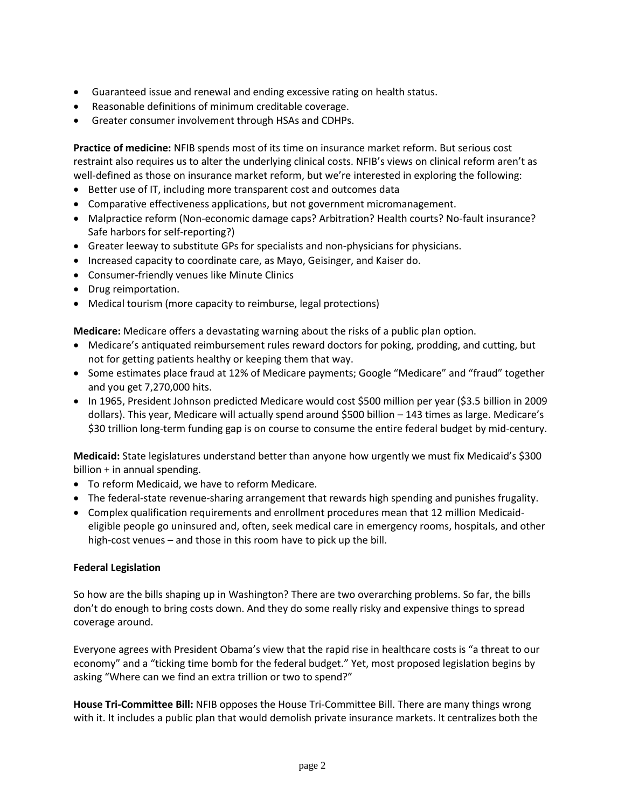- Guaranteed issue and renewal and ending excessive rating on health status.
- Reasonable definitions of minimum creditable coverage.
- Greater consumer involvement through HSAs and CDHPs.

**Practice of medicine:** NFIB spends most of its time on insurance market reform. But serious cost restraint also requires us to alter the underlying clinical costs. NFIB's views on clinical reform aren't as well-defined as those on insurance market reform, but we're interested in exploring the following:

- Better use of IT, including more transparent cost and outcomes data
- Comparative effectiveness applications, but not government micromanagement.
- Malpractice reform (Non-economic damage caps? Arbitration? Health courts? No-fault insurance? Safe harbors for self-reporting?)
- Greater leeway to substitute GPs for specialists and non-physicians for physicians.
- Increased capacity to coordinate care, as Mayo, Geisinger, and Kaiser do.
- Consumer-friendly venues like Minute Clinics
- Drug reimportation.
- Medical tourism (more capacity to reimburse, legal protections)

**Medicare:** Medicare offers a devastating warning about the risks of a public plan option.

- Medicare's antiquated reimbursement rules reward doctors for poking, prodding, and cutting, but not for getting patients healthy or keeping them that way.
- Some estimates place fraud at 12% of Medicare payments; Google "Medicare" and "fraud" together and you get 7,270,000 hits.
- In 1965, President Johnson predicted Medicare would cost \$500 million per year (\$3.5 billion in 2009 dollars). This year, Medicare will actually spend around \$500 billion – 143 times as large. Medicare's \$30 trillion long-term funding gap is on course to consume the entire federal budget by mid-century.

**Medicaid:** State legislatures understand better than anyone how urgently we must fix Medicaid's \$300 billion + in annual spending.

- To reform Medicaid, we have to reform Medicare.
- The federal-state revenue-sharing arrangement that rewards high spending and punishes frugality.
- Complex qualification requirements and enrollment procedures mean that 12 million Medicaideligible people go uninsured and, often, seek medical care in emergency rooms, hospitals, and other high-cost venues – and those in this room have to pick up the bill.

## **Federal Legislation**

So how are the bills shaping up in Washington? There are two overarching problems. So far, the bills don't do enough to bring costs down. And they do some really risky and expensive things to spread coverage around.

Everyone agrees with President Obama's view that the rapid rise in healthcare costs is "a threat to our economy" and a "ticking time bomb for the federal budget." Yet, most proposed legislation begins by asking "Where can we find an extra trillion or two to spend?"

**House Tri-Committee Bill:** NFIB opposes the House Tri-Committee Bill. There are many things wrong with it. It includes a public plan that would demolish private insurance markets. It centralizes both the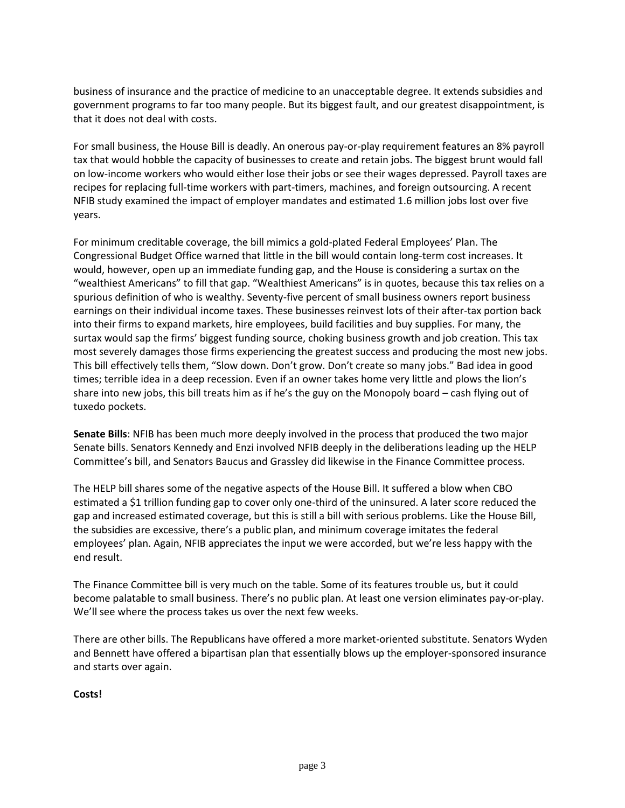business of insurance and the practice of medicine to an unacceptable degree. It extends subsidies and government programs to far too many people. But its biggest fault, and our greatest disappointment, is that it does not deal with costs.

For small business, the House Bill is deadly. An onerous pay-or-play requirement features an 8% payroll tax that would hobble the capacity of businesses to create and retain jobs. The biggest brunt would fall on low-income workers who would either lose their jobs or see their wages depressed. Payroll taxes are recipes for replacing full-time workers with part-timers, machines, and foreign outsourcing. A recent NFIB study examined the impact of employer mandates and estimated 1.6 million jobs lost over five years.

For minimum creditable coverage, the bill mimics a gold-plated Federal Employees' Plan. The Congressional Budget Office warned that little in the bill would contain long-term cost increases. It would, however, open up an immediate funding gap, and the House is considering a surtax on the "wealthiest Americans" to fill that gap. "Wealthiest Americans" is in quotes, because this tax relies on a spurious definition of who is wealthy. Seventy-five percent of small business owners report business earnings on their individual income taxes. These businesses reinvest lots of their after-tax portion back into their firms to expand markets, hire employees, build facilities and buy supplies. For many, the surtax would sap the firms' biggest funding source, choking business growth and job creation. This tax most severely damages those firms experiencing the greatest success and producing the most new jobs. This bill effectively tells them, "Slow down. Don't grow. Don't create so many jobs." Bad idea in good times; terrible idea in a deep recession. Even if an owner takes home very little and plows the lion's share into new jobs, this bill treats him as if he's the guy on the Monopoly board – cash flying out of tuxedo pockets.

**Senate Bills**: NFIB has been much more deeply involved in the process that produced the two major Senate bills. Senators Kennedy and Enzi involved NFIB deeply in the deliberations leading up the HELP Committee's bill, and Senators Baucus and Grassley did likewise in the Finance Committee process.

The HELP bill shares some of the negative aspects of the House Bill. It suffered a blow when CBO estimated a \$1 trillion funding gap to cover only one-third of the uninsured. A later score reduced the gap and increased estimated coverage, but this is still a bill with serious problems. Like the House Bill, the subsidies are excessive, there's a public plan, and minimum coverage imitates the federal employees' plan. Again, NFIB appreciates the input we were accorded, but we're less happy with the end result.

The Finance Committee bill is very much on the table. Some of its features trouble us, but it could become palatable to small business. There's no public plan. At least one version eliminates pay-or-play. We'll see where the process takes us over the next few weeks.

There are other bills. The Republicans have offered a more market-oriented substitute. Senators Wyden and Bennett have offered a bipartisan plan that essentially blows up the employer-sponsored insurance and starts over again.

**Costs!**